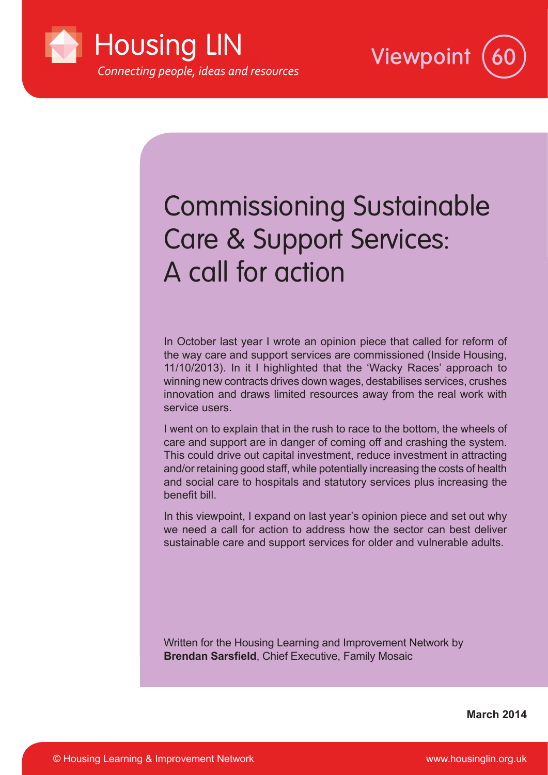



# Commissioning Sustainable Care & Support Services: A call for action

In October last year I wrote an opinion piece that called for reform of the way care and support services are commissioned (Inside Housing, 11/10/2013). In it I highlighted that the 'Wacky Races' approach to winning new contracts drives down wages, destabilises services, crushes innovation and draws limited resources away from the real work with service users.

I went on to explain that in the rush to race to the bottom, the wheels of care and support are in danger of coming off and crashing the system. This could drive out capital investment, reduce investment in attracting and/or retaining good staff, while potentially increasing the costs of health and social care to hospitals and statutory services plus increasing the benefit bill.

In this viewpoint, I expand on last year's opinion piece and set out why we need a call for action to address how the sector can best deliver sustainable care and support services for older and vulnerable adults.

Written for the Housing Learning and Improvement Network by **Brendan Sarsfield**, Chief Executive, Family Mosaic

**March 2014**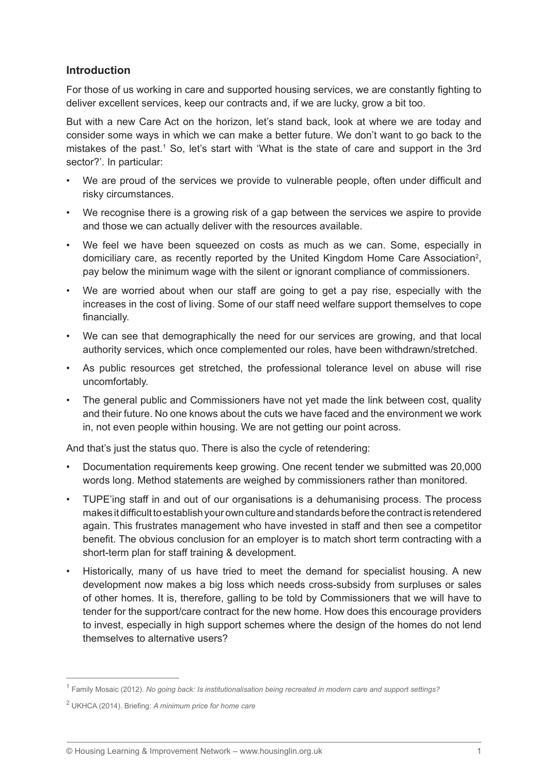## **Introduction**

For those of us working in care and supported housing services, we are constantly fighting to deliver excellent services, keep our contracts and, if we are lucky, grow a bit too.

But with a new Care Act on the horizon, let's stand back, look at where we are today and consider some ways in which we can make a better future. We don't want to go back to the mistakes of the past.<sup>1</sup> So, let's start with 'What is the state of care and support in the 3rd sector?'. In particular:

- We are proud of the services we provide to vulnerable people, often under difficult and risky circumstances.
- We recognise there is a growing risk of a gap between the services we aspire to provide and those we can actually deliver with the resources available.
- We feel we have been squeezed on costs as much as we can. Some, especially in domiciliary care, as recently reported by the United Kingdom Home Care Association<sup>2</sup>, pay below the minimum wage with the silent or ignorant compliance of commissioners.
- We are worried about when our staff are going to get a pay rise, especially with the increases in the cost of living. Some of our staff need welfare support themselves to cope financially.
- We can see that demographically the need for our services are growing, and that local authority services, which once complemented our roles, have been withdrawn/stretched.
- As public resources get stretched, the professional tolerance level on abuse will rise uncomfortably.
- The general public and Commissioners have not yet made the link between cost, quality and their future. No one knows about the cuts we have faced and the environment we work in, not even people within housing. We are not getting our point across.

And that's just the status quo. There is also the cycle of retendering:

- Documentation requirements keep growing. One recent tender we submitted was 20,000 words long. Method statements are weighed by commissioners rather than monitored.
- TUPE'ing staff in and out of our organisations is a dehumanising process. The process makes it difficult to establish your own culture and standards before the contract is retendered again. This frustrates management who have invested in staff and then see a competitor benefit. The obvious conclusion for an employer is to match short term contracting with a short-term plan for staff training & development.
- Historically, many of us have tried to meet the demand for specialist housing. A new development now makes a big loss which needs cross-subsidy from surpluses or sales of other homes. It is, therefore, galling to be told by Commissioners that we will have to tender for the support/care contract for the new home. How does this encourage providers to invest, especially in high support schemes where the design of the homes do not lend themselves to alternative users?

<sup>1</sup> Family Mosaic (2012). *No going back: Is institutionalisation being recreated in modern care and support settings?*

<sup>2</sup> UKHCA (2014). Briefing: *A minimum price for home care*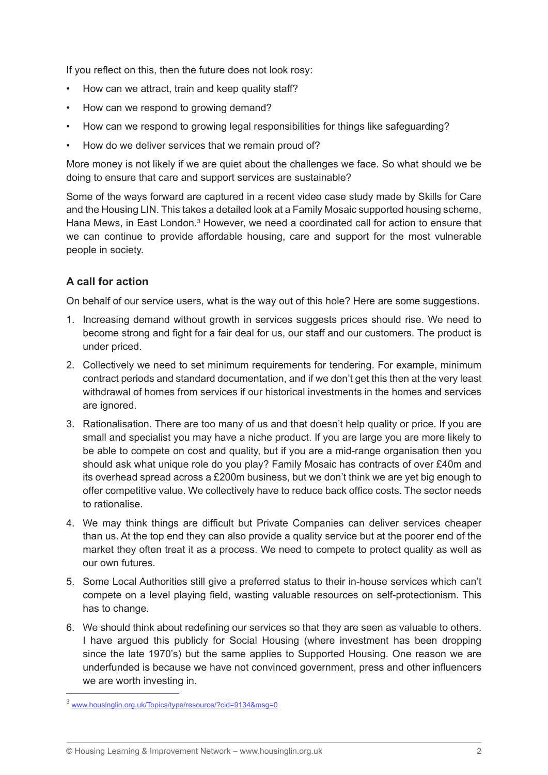If you reflect on this, then the future does not look rosy:

- How can we attract, train and keep quality staff?
- How can we respond to growing demand?
- How can we respond to growing legal responsibilities for things like safeguarding?
- How do we deliver services that we remain proud of?

More money is not likely if we are quiet about the challenges we face. So what should we be doing to ensure that care and support services are sustainable?

Some of the ways forward are captured in a recent video case study made by Skills for Care and the Housing LIN. This takes a detailed look at a Family Mosaic supported housing scheme, Hana Mews, in East London.<sup>3</sup> However, we need a coordinated call for action to ensure that we can continue to provide affordable housing, care and support for the most vulnerable people in society.

# **A call for action**

On behalf of our service users, what is the way out of this hole? Here are some suggestions.

- 1. Increasing demand without growth in services suggests prices should rise. We need to become strong and fight for a fair deal for us, our staff and our customers. The product is under priced.
- 2. Collectively we need to set minimum requirements for tendering. For example, minimum contract periods and standard documentation, and if we don't get this then at the very least withdrawal of homes from services if our historical investments in the homes and services are ignored.
- 3. Rationalisation. There are too many of us and that doesn't help quality or price. If you are small and specialist you may have a niche product. If you are large you are more likely to be able to compete on cost and quality, but if you are a mid-range organisation then you should ask what unique role do you play? Family Mosaic has contracts of over £40m and its overhead spread across a £200m business, but we don't think we are yet big enough to offer competitive value. We collectively have to reduce back office costs. The sector needs to rationalise.
- 4. We may think things are difficult but Private Companies can deliver services cheaper than us. At the top end they can also provide a quality service but at the poorer end of the market they often treat it as a process. We need to compete to protect quality as well as our own futures.
- 5. Some Local Authorities still give a preferred status to their in-house services which can't compete on a level playing field, wasting valuable resources on self-protectionism. This has to change.
- 6. We should think about redefining our services so that they are seen as valuable to others. I have argued this publicly for Social Housing (where investment has been dropping since the late 1970's) but the same applies to Supported Housing. One reason we are underfunded is because we have not convinced government, press and other influencers we are worth investing in.

<sup>3</sup> www.housinglin.org.uk/Topics/type/resource/?cid=9134&msg=0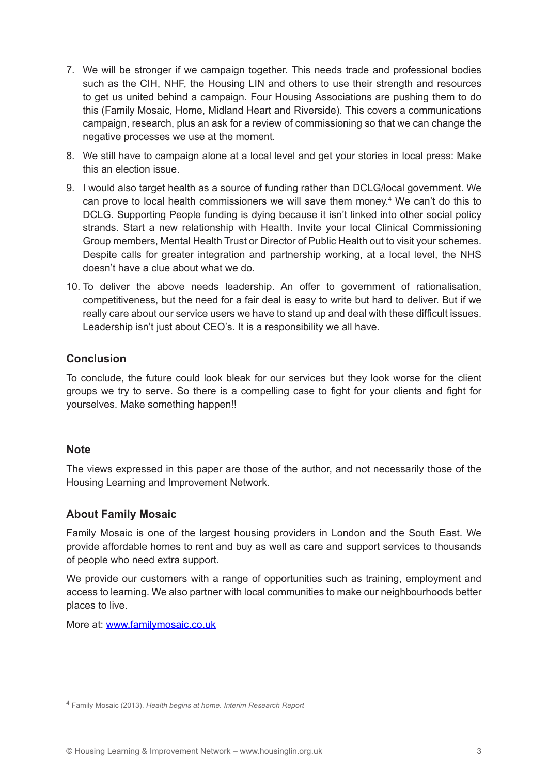- 7. We will be stronger if we campaign together. This needs trade and professional bodies such as the CIH, NHF, the Housing LIN and others to use their strength and resources to get us united behind a campaign. Four Housing Associations are pushing them to do this (Family Mosaic, Home, Midland Heart and Riverside). This covers a communications campaign, research, plus an ask for a review of commissioning so that we can change the negative processes we use at the moment.
- 8. We still have to campaign alone at a local level and get your stories in local press: Make this an election issue.
- 9. I would also target health as a source of funding rather than DCLG/local government. We can prove to local health commissioners we will save them money.<sup>4</sup> We can't do this to DCLG. Supporting People funding is dying because it isn't linked into other social policy strands. Start a new relationship with Health. Invite your local Clinical Commissioning Group members, Mental Health Trust or Director of Public Health out to visit your schemes. Despite calls for greater integration and partnership working, at a local level, the NHS doesn't have a clue about what we do.
- 10. To deliver the above needs leadership. An offer to government of rationalisation, competitiveness, but the need for a fair deal is easy to write but hard to deliver. But if we really care about our service users we have to stand up and deal with these difficult issues. Leadership isn't just about CEO's. It is a responsibility we all have.

## **Conclusion**

To conclude, the future could look bleak for our services but they look worse for the client groups we try to serve. So there is a compelling case to fight for your clients and fight for yourselves. Make something happen!!

#### **Note**

The views expressed in this paper are those of the author, and not necessarily those of the Housing Learning and Improvement Network.

#### **About Family Mosaic**

Family Mosaic is one of the largest housing providers in London and the South East. We provide affordable homes to rent and buy as well as care and support services to thousands of people who need extra support.

We provide our customers with a range of opportunities such as training, employment and access to learning. We also partner with local communities to make our neighbourhoods better places to live.

More at: www.familymosaic.co.uk

<sup>4</sup> Family Mosaic (2013). *Health begins at home. Interim Research Report*